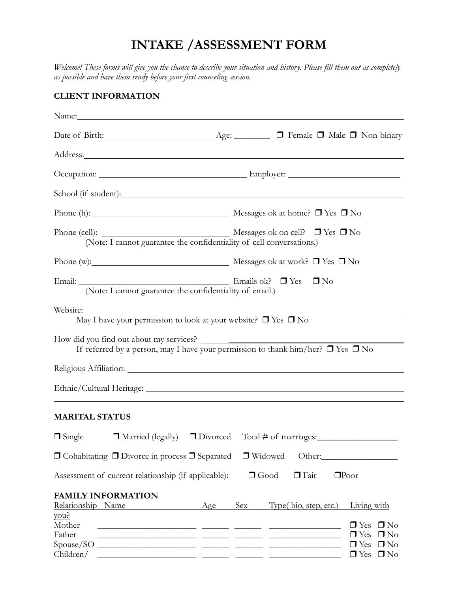## **INTAKE /ASSESSMENT FORM**

*Welcome! These forms will give you the chance to describe your situation and history. Please fill them out as completely as possible and have them ready before your first counseling session.* 

#### **CLIENT INFORMATION**

| Name: Name:                                                                                                                                                                                                                                                 |                                                                    |                                                                                                                                                                                           |                                                                                                    |
|-------------------------------------------------------------------------------------------------------------------------------------------------------------------------------------------------------------------------------------------------------------|--------------------------------------------------------------------|-------------------------------------------------------------------------------------------------------------------------------------------------------------------------------------------|----------------------------------------------------------------------------------------------------|
|                                                                                                                                                                                                                                                             |                                                                    |                                                                                                                                                                                           |                                                                                                    |
|                                                                                                                                                                                                                                                             |                                                                    |                                                                                                                                                                                           |                                                                                                    |
|                                                                                                                                                                                                                                                             |                                                                    |                                                                                                                                                                                           |                                                                                                    |
|                                                                                                                                                                                                                                                             |                                                                    |                                                                                                                                                                                           |                                                                                                    |
| Phone (h): $\qquad \qquad$ Messages ok at home? $\Box$ Yes $\Box$ No                                                                                                                                                                                        |                                                                    |                                                                                                                                                                                           |                                                                                                    |
| (Note: I cannot guarantee the confidentiality of cell conversations.)                                                                                                                                                                                       |                                                                    |                                                                                                                                                                                           |                                                                                                    |
| Phone (w): $\Box$ No Messages ok at work? $\Box$ Yes $\Box$ No                                                                                                                                                                                              |                                                                    |                                                                                                                                                                                           |                                                                                                    |
| (Note: I cannot guarantee the confidentiality of email.)                                                                                                                                                                                                    |                                                                    |                                                                                                                                                                                           |                                                                                                    |
| Website: $\frac{1}{\text{May I have your permission to look at your website? } \Box \text{ Yes } \Box \text{ No}}$<br>How did you find out about my services?<br>If referred by a person, may I have your permission to thank him/her? $\Box$ Yes $\Box$ No |                                                                    |                                                                                                                                                                                           |                                                                                                    |
|                                                                                                                                                                                                                                                             |                                                                    |                                                                                                                                                                                           |                                                                                                    |
|                                                                                                                                                                                                                                                             |                                                                    |                                                                                                                                                                                           |                                                                                                    |
| <b>MARITAL STATUS</b>                                                                                                                                                                                                                                       |                                                                    |                                                                                                                                                                                           |                                                                                                    |
| $\Box$ Single $\Box$ Married (legally) $\Box$ Divorced Total # of marriages:                                                                                                                                                                                |                                                                    |                                                                                                                                                                                           |                                                                                                    |
| $\Box$ Cohabitating $\Box$ Divorce in process $\Box$ Separated                                                                                                                                                                                              |                                                                    | $\Box$ Widowed                                                                                                                                                                            |                                                                                                    |
| Assessment of current relationship (if applicable):                                                                                                                                                                                                         |                                                                    | $\Box$ Good<br>$\Box$ Fair                                                                                                                                                                | $\square$ Poor                                                                                     |
| <b>FAMILY INFORMATION</b><br>Relationship Name                                                                                                                                                                                                              | <b>Example 2</b> Age<br>Sex                                        | Type (bio, step, etc.) Living with                                                                                                                                                        |                                                                                                    |
| <u>you?</u><br>Mother<br>Father<br>Children/                                                                                                                                                                                                                | <u> 1989 - Jan James James, politik eta politikaria (h. 1989).</u> | <u> 1989 - Andrea Santana, amerikana menganjian periodikan periodikan periodikan periodikan periodikan periodikan</u><br><u> 1999 - Jan James James, politik eta politikar (h. 1908).</u> | $\Box$ Yes $\Box$ No<br>$\Box$ Yes<br>$\Box$ No<br>$\Box$ Yes<br>$\Box$ No<br>$\Box$ Yes $\Box$ No |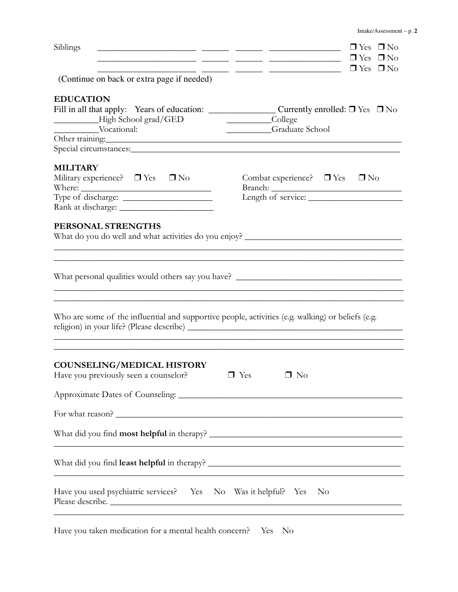| Siblings                                                                                                                                                                                                                                            | $\Box$ Yes $\Box$ No<br>المستحقق المستحقق والمستنب والمستنب والمستحقق المستحقق المستنب<br>$\frac{\ }{\ }$ $\frac{\ }{\ }$ $\frac{\ }{\ }$ $\frac{\ }{\ }$ $\frac{\ }{\ }$ $\frac{\ }{\ }$ $\frac{\ }{\ }$ $\frac{\ }{\ }$ $\frac{\ }{\ }$ $\frac{\ }{\ }$ $\frac{\ }{\ }$ $\frac{\ }{\ }$ $\frac{\ }{\ }$ $\frac{\ }{\ }$ $\frac{\ }{\ }$ $\frac{\ }{\ }$ $\frac{\ }{\ }$ $\frac{\ }{\ }$ $\frac{\ }{\ }$ $\frac{\ }{\ }$ $\frac{\ }{\ }$ $\frac{\ }{\ }$ $\frac{\ }{\ }$ $\frac{\ }{\ }$ $\frac{\ }$<br>$\frac{1}{\sqrt{1-\frac{1}{1-\frac{1}{1-\frac{1}{1-\frac{1}{1-\frac{1}{1-\frac{1}{1-\frac{1}{1-\frac{1}{1-\frac{1}{1-\frac{1}{1-\frac{1}{1-\frac{1}{1-\frac{1}{1-\frac{1}{1-\frac{1}{1-\frac{1}{1-\frac{1}{1-\frac{1}{1-\frac{1}{1-\frac{1}{1-\frac{1}{1-\frac{1}{1-\frac{1}{1-\frac{1}{1-\frac{1}{1-\frac{1}{1-\frac{1}{1-\frac{1}{1-\frac{1}{1-\frac{1}{1-\frac{1}{1-\frac{1}{1-\frac{1}{1-\frac{1}{1-\frac{1}{1-\$ |
|-----------------------------------------------------------------------------------------------------------------------------------------------------------------------------------------------------------------------------------------------------|--------------------------------------------------------------------------------------------------------------------------------------------------------------------------------------------------------------------------------------------------------------------------------------------------------------------------------------------------------------------------------------------------------------------------------------------------------------------------------------------------------------------------------------------------------------------------------------------------------------------------------------------------------------------------------------------------------------------------------------------------------------------------------------------------------------------------------------------------------------------------------------------------------------------------------|
| (Continue on back or extra page if needed)                                                                                                                                                                                                          |                                                                                                                                                                                                                                                                                                                                                                                                                                                                                                                                                                                                                                                                                                                                                                                                                                                                                                                                |
| <b>EDUCATION</b>                                                                                                                                                                                                                                    |                                                                                                                                                                                                                                                                                                                                                                                                                                                                                                                                                                                                                                                                                                                                                                                                                                                                                                                                |
| High School grad/GED                                                                                                                                                                                                                                | College<br>Graduate School                                                                                                                                                                                                                                                                                                                                                                                                                                                                                                                                                                                                                                                                                                                                                                                                                                                                                                     |
| Vocational: Cher Graduate School Cher training:                                                                                                                                                                                                     |                                                                                                                                                                                                                                                                                                                                                                                                                                                                                                                                                                                                                                                                                                                                                                                                                                                                                                                                |
| <b>MILITARY</b><br>Military experience? $\Box$ Yes $\Box$ No                                                                                                                                                                                        | Combat experience? $\Box$ Yes $\Box$ No                                                                                                                                                                                                                                                                                                                                                                                                                                                                                                                                                                                                                                                                                                                                                                                                                                                                                        |
| PERSONAL STRENGTHS<br>the control of the control of the control of the control of the control of the control of the control of the control of the control of the control of the control of the control of the control of the control of the control | What do you do well and what activities do you enjoy? ___________________________                                                                                                                                                                                                                                                                                                                                                                                                                                                                                                                                                                                                                                                                                                                                                                                                                                              |
| Who are some of the influential and supportive people, activities (e.g. walking) or beliefs (e.g.                                                                                                                                                   | What personal qualities would others say you have? ______________________________                                                                                                                                                                                                                                                                                                                                                                                                                                                                                                                                                                                                                                                                                                                                                                                                                                              |
| <b>COUNSELING/MEDICAL HISTORY</b><br>Have you previously seen a counselor?                                                                                                                                                                          | $\Box$ No<br>$\Box$ Yes                                                                                                                                                                                                                                                                                                                                                                                                                                                                                                                                                                                                                                                                                                                                                                                                                                                                                                        |
|                                                                                                                                                                                                                                                     |                                                                                                                                                                                                                                                                                                                                                                                                                                                                                                                                                                                                                                                                                                                                                                                                                                                                                                                                |
| For what reason?                                                                                                                                                                                                                                    |                                                                                                                                                                                                                                                                                                                                                                                                                                                                                                                                                                                                                                                                                                                                                                                                                                                                                                                                |
|                                                                                                                                                                                                                                                     |                                                                                                                                                                                                                                                                                                                                                                                                                                                                                                                                                                                                                                                                                                                                                                                                                                                                                                                                |
|                                                                                                                                                                                                                                                     |                                                                                                                                                                                                                                                                                                                                                                                                                                                                                                                                                                                                                                                                                                                                                                                                                                                                                                                                |
| Have you used psychiatric services? Yes No Was it helpful? Yes                                                                                                                                                                                      | N <sub>o</sub>                                                                                                                                                                                                                                                                                                                                                                                                                                                                                                                                                                                                                                                                                                                                                                                                                                                                                                                 |

Have you taken medication for a mental health concern? Yes No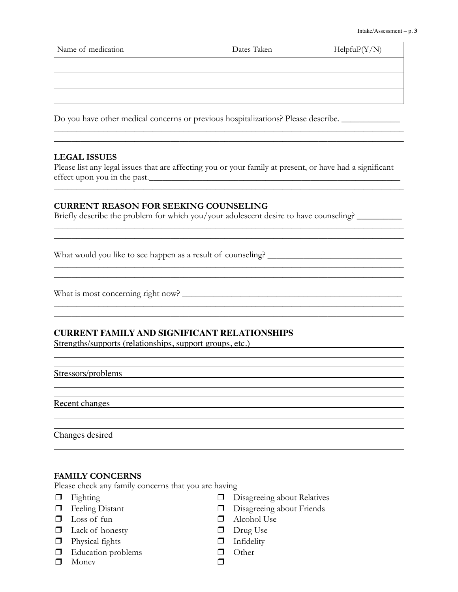| Name of medication | Dates Taken | HelpfulP(Y/N) |
|--------------------|-------------|---------------|
|                    |             |               |
|                    |             |               |
|                    |             |               |

 $\mathcal{L}_\text{max}$  and the set of the set of the set of the set of the set of the set of the set of the set of the set of the set of the set of the set of the set of the set of the set of the set of the set of the set of the s

 $\mathcal{L}_\mathcal{L} = \mathcal{L}_\mathcal{L} = \mathcal{L}_\mathcal{L} = \mathcal{L}_\mathcal{L} = \mathcal{L}_\mathcal{L} = \mathcal{L}_\mathcal{L} = \mathcal{L}_\mathcal{L} = \mathcal{L}_\mathcal{L} = \mathcal{L}_\mathcal{L} = \mathcal{L}_\mathcal{L} = \mathcal{L}_\mathcal{L} = \mathcal{L}_\mathcal{L} = \mathcal{L}_\mathcal{L} = \mathcal{L}_\mathcal{L} = \mathcal{L}_\mathcal{L} = \mathcal{L}_\mathcal{L} = \mathcal{L}_\mathcal{L}$ 

 $\mathcal{L}_\mathcal{L} = \{ \mathcal{L}_\mathcal{L} = \{ \mathcal{L}_\mathcal{L} = \{ \mathcal{L}_\mathcal{L} = \{ \mathcal{L}_\mathcal{L} = \{ \mathcal{L}_\mathcal{L} = \{ \mathcal{L}_\mathcal{L} = \{ \mathcal{L}_\mathcal{L} = \{ \mathcal{L}_\mathcal{L} = \{ \mathcal{L}_\mathcal{L} = \{ \mathcal{L}_\mathcal{L} = \{ \mathcal{L}_\mathcal{L} = \{ \mathcal{L}_\mathcal{L} = \{ \mathcal{L}_\mathcal{L} = \{ \mathcal{L}_\mathcal{$ 

Do you have other medical concerns or previous hospitalizations? Please describe. \_\_\_\_\_\_\_\_\_\_\_\_\_\_\_\_\_

#### **LEGAL ISSUES**

Please list any legal issues that are affecting you or your family at present, or have had a significant effect upon you in the past.

\_\_\_\_\_\_\_\_\_\_\_\_\_\_\_\_\_\_\_\_\_\_\_\_\_\_\_\_\_\_\_\_\_\_\_\_\_\_\_\_\_\_\_\_\_\_\_\_\_\_\_\_\_\_\_\_\_\_\_\_\_\_\_\_\_\_\_\_\_\_\_\_\_\_\_\_\_\_

\_\_\_\_\_\_\_\_\_\_\_\_\_\_\_\_\_\_\_\_\_\_\_\_\_\_\_\_\_\_\_\_\_\_\_\_\_\_\_\_\_\_\_\_\_\_\_\_\_\_\_\_\_\_\_\_\_\_\_\_\_\_\_\_\_\_\_\_\_\_\_\_\_\_\_\_\_\_

\_\_\_\_\_\_\_\_\_\_\_\_\_\_\_\_\_\_\_\_\_\_\_\_\_\_\_\_\_\_\_\_\_\_\_\_\_\_\_\_\_\_\_\_\_\_\_\_\_\_\_\_\_\_\_\_\_\_\_\_\_\_\_\_\_\_\_\_\_\_\_\_\_\_\_\_\_\_

\_\_\_\_\_\_\_\_\_\_\_\_\_\_\_\_\_\_\_\_\_\_\_\_\_\_\_\_\_\_\_\_\_\_\_\_\_\_\_\_\_\_\_\_\_\_\_\_\_\_\_\_\_\_\_\_\_\_\_\_\_\_\_\_\_\_\_\_\_\_\_\_\_\_\_\_\_\_

\_\_\_\_\_\_\_\_\_\_\_\_\_\_\_\_\_\_\_\_\_\_\_\_\_\_\_\_\_\_\_\_\_\_\_\_\_\_\_\_\_\_\_\_\_\_\_\_\_\_\_\_\_\_\_\_\_\_\_\_\_\_\_\_\_\_\_\_\_\_\_\_\_\_\_\_\_\_

#### **CURRENT REASON FOR SEEKING COUNSELING**

Briefly describe the problem for which you/your adolescent desire to have counseling?

What would you like to see happen as a result of counseling? \_\_\_\_\_\_\_\_\_\_\_\_\_\_\_\_\_\_\_\_\_\_\_\_\_\_\_\_\_\_

What is most concerning right now? \_\_\_\_\_\_\_\_\_\_\_\_\_\_\_\_\_\_\_\_\_\_\_\_\_\_\_\_\_\_\_\_\_\_\_\_\_\_\_\_\_\_\_\_\_\_\_\_\_

#### **CURRENT FAMILY AND SIGNIFICANT RELATIONSHIPS**

Strengths/supports (relationships, support groups, etc.)

#### Stressors/problems

Recent changes

Changes desired

#### **FAMILY CONCERNS**

Please check any family concerns that you are having

- ❒ Fighting
- ❒ Feeling Distant
- $\n **Loss of fun**\n$
- ❒ Lack of honesty
- ❒ Physical fights
- ❒ Education problems
- ❒ Money

❒ Disagreeing about Relatives

<u> 1989 - Johann Stoff, deutscher Stoff, der Stoff, der Stoff, der Stoff, der Stoff, der Stoff, der Stoff, der S</u>

- ❒ Disagreeing about Friends
- ❒ Alcohol Use
- ❒ Drug Use
- ❒ Infidelity
- ❒ Other
- $\Box$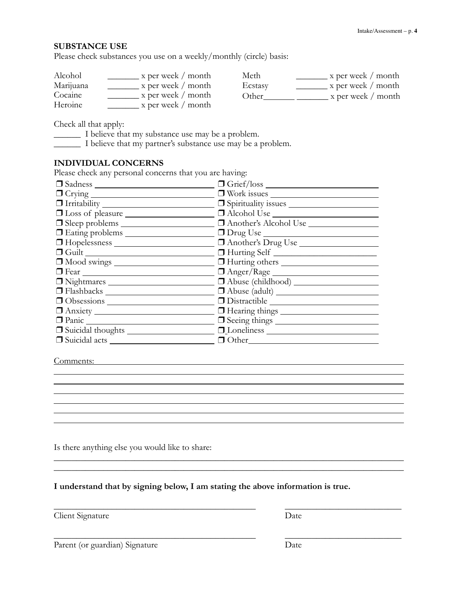#### **SUBSTANCE USE**

Please check substances you use on a weekly/monthly (circle) basis:

| Alcohol   | x per week / month            | Meth    | $\frac{1}{2}$ x per week / month |
|-----------|-------------------------------|---------|----------------------------------|
| Marijuana | $x$ per week / month          | Ecstasy | x per week / month               |
| Cocaine   | $\mathbf{x}$ per week / month | Other   | $\mathbf{x}$ per week / month    |
| Heroine   | x per week / month            |         |                                  |

Check all that apply:

\_\_\_\_\_\_ I believe that my substance use may be a problem.

\_\_\_\_\_\_ I believe that my partner's substance use may be a problem.

#### **INDIVIDUAL CONCERNS**

Please check any personal concerns that you are having:

| $\Box$ Sadness $\Box$                        | $\Box$ Grief/loss $\_\_$                                                         |
|----------------------------------------------|----------------------------------------------------------------------------------|
|                                              | U Work issues                                                                    |
|                                              |                                                                                  |
|                                              | □ Loss of pleasure ____________________ □ Alcohol Use __________________________ |
| $\Box$ Sleep problems $\_\_\_\_\_\_\_\_\_\_$ | Another's Alcohol Use                                                            |
|                                              |                                                                                  |
|                                              | Another's Drug Use                                                               |
|                                              |                                                                                  |
|                                              |                                                                                  |
|                                              | $\Box$ Anger/Rage                                                                |
| □ Nightmares                                 |                                                                                  |
|                                              | $\Box$ Abuse (adult) $\_\_$                                                      |
|                                              |                                                                                  |
|                                              |                                                                                  |
|                                              |                                                                                  |
|                                              | $\Box$ Loneliness $\Box$                                                         |
|                                              |                                                                                  |

#### Comments:

Is there anything else you would like to share:

**I understand that by signing below, I am stating the above information is true.**

 $\_$  , and the contract of the contract of the contract of the contract of the contract of the contract of the contract of the contract of the contract of the contract of the contract of the contract of the contract of the

and the control of the control of the control of the control of the control of the control of the control of the

 $\_$  , and the contract of the contract of the contract of the contract of the contract of the contract of the contract of the contract of the contract of the contract of the contract of the contract of the contract of the

\_\_\_\_\_\_\_\_\_\_\_\_\_\_\_\_\_\_\_\_\_\_\_\_\_\_\_\_\_\_\_\_\_\_\_\_\_\_\_\_\_\_\_\_\_\_\_\_\_\_\_\_\_\_\_\_\_\_\_\_\_\_\_\_\_\_\_\_\_\_\_\_\_\_\_\_\_\_

Client Signature Date

Parent (or guardian) Signature Date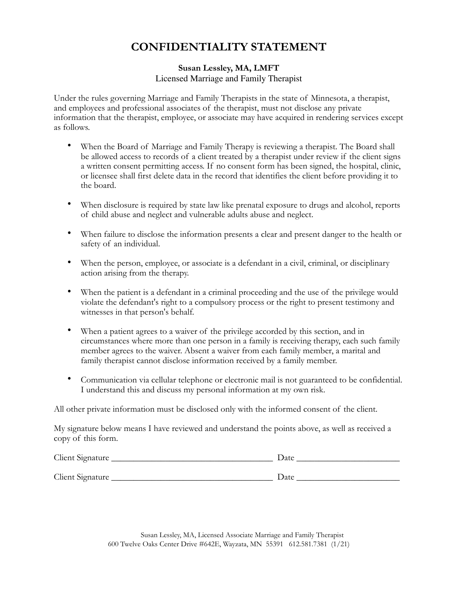## **CONFIDENTIALITY STATEMENT**

#### **Susan Lessley, MA, LMFT** Licensed Marriage and Family Therapist

Under the rules governing Marriage and Family Therapists in the state of Minnesota, a therapist, and employees and professional associates of the therapist, must not disclose any private information that the therapist, employee, or associate may have acquired in rendering services except as follows.

- When the Board of Marriage and Family Therapy is reviewing a therapist. The Board shall be allowed access to records of a client treated by a therapist under review if the client signs a written consent permitting access. If no consent form has been signed, the hospital, clinic, or licensee shall first delete data in the record that identifies the client before providing it to the board.
- When disclosure is required by state law like prenatal exposure to drugs and alcohol, reports of child abuse and neglect and vulnerable adults abuse and neglect.
- When failure to disclose the information presents a clear and present danger to the health or safety of an individual.
- When the person, employee, or associate is a defendant in a civil, criminal, or disciplinary action arising from the therapy.
- When the patient is a defendant in a criminal proceeding and the use of the privilege would violate the defendant's right to a compulsory process or the right to present testimony and witnesses in that person's behalf.
- When a patient agrees to a waiver of the privilege accorded by this section, and in circumstances where more than one person in a family is receiving therapy, each such family member agrees to the waiver. Absent a waiver from each family member, a marital and family therapist cannot disclose information received by a family member.
- Communication via cellular telephone or electronic mail is not guaranteed to be confidential. I understand this and discuss my personal information at my own risk.

All other private information must be disclosed only with the informed consent of the client.

My signature below means I have reviewed and understand the points above, as well as received a copy of this form.

| Client Signature | Date |
|------------------|------|
| Client Signature | Date |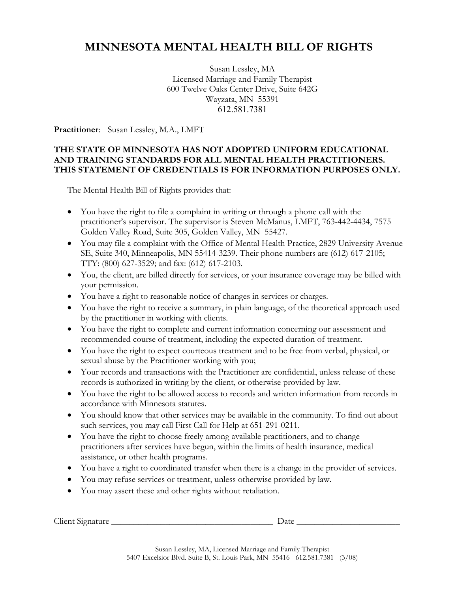## **MINNESOTA MENTAL HEALTH BILL OF RIGHTS**

Susan Lessley, MA Licensed Marriage and Family Therapist 600 Twelve Oaks Center Drive, Suite 642G Wayzata, MN 55391 612.581.7381

**Practitioner**: Susan Lessley, M.A., LMFT

#### **THE STATE OF MINNESOTA HAS NOT ADOPTED UNIFORM EDUCATIONAL AND TRAINING STANDARDS FOR ALL MENTAL HEALTH PRACTITIONERS. THIS STATEMENT OF CREDENTIALS IS FOR INFORMATION PURPOSES ONLY.**

The Mental Health Bill of Rights provides that:

- You have the right to file a complaint in writing or through a phone call with the practitioner's supervisor. The supervisor is Steven McManus, LMFT, 763-442-4434, 7575 Golden Valley Road, Suite 305, Golden Valley, MN 55427.
- You may file a complaint with the Office of Mental Health Practice, 2829 University Avenue SE, Suite 340, Minneapolis, MN 55414-3239. Their phone numbers are (612) 617-2105; TTY: (800) 627-3529; and fax: (612) 617-2103.
- You, the client, are billed directly for services, or your insurance coverage may be billed with your permission.
- You have a right to reasonable notice of changes in services or charges.
- You have the right to receive a summary, in plain language, of the theoretical approach used by the practitioner in working with clients.
- You have the right to complete and current information concerning our assessment and recommended course of treatment, including the expected duration of treatment.
- You have the right to expect courteous treatment and to be free from verbal, physical, or sexual abuse by the Practitioner working with you;
- Your records and transactions with the Practitioner are confidential, unless release of these records is authorized in writing by the client, or otherwise provided by law.
- You have the right to be allowed access to records and written information from records in accordance with Minnesota statutes.
- You should know that other services may be available in the community. To find out about such services, you may call First Call for Help at 651-291-0211.
- You have the right to choose freely among available practitioners, and to change practitioners after services have begun, within the limits of health insurance, medical assistance, or other health programs.
- You have a right to coordinated transfer when there is a change in the provider of services.
- You may refuse services or treatment, unless otherwise provided by law.
- You may assert these and other rights without retaliation.

Client Signature \_\_\_\_\_\_\_\_\_\_\_\_\_\_\_\_\_\_\_\_\_\_\_\_\_\_\_\_\_\_\_\_\_\_\_\_ Date \_\_\_\_\_\_\_\_\_\_\_\_\_\_\_\_\_\_\_\_\_\_\_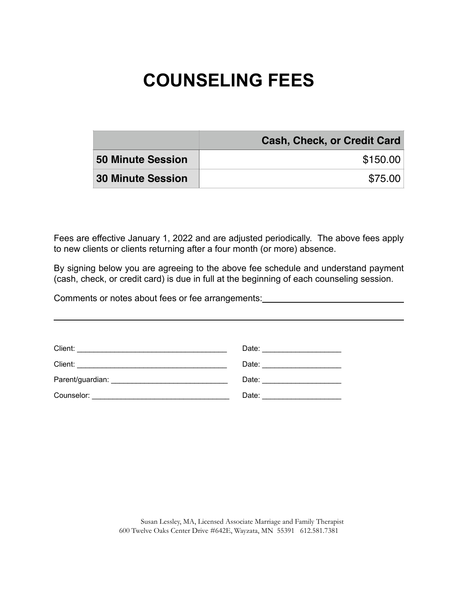# **COUNSELING FEES**

|                          | <b>Cash, Check, or Credit Card</b> |
|--------------------------|------------------------------------|
| <b>50 Minute Session</b> | \$150.00                           |
| <b>30 Minute Session</b> | \$75.00                            |

Fees are effective January 1, 2022 and are adjusted periodically. The above fees apply to new clients or clients returning after a four month (or more) absence.

By signing below you are agreeing to the above fee schedule and understand payment (cash, check, or credit card) is due in full at the beginning of each counseling session.

Comments or notes about fees or fee arrangements:<br>
<u>Comments or notes about fees or fee arrangements:</u>

| Date: ________________________ |
|--------------------------------|
| Date: ________________________ |
|                                |
| Date: _____________________    |

Susan Lessley, MA, Licensed Associate Marriage and Family Therapist 600 Twelve Oaks Center Drive #642E, Wayzata, MN 55391 612.581.7381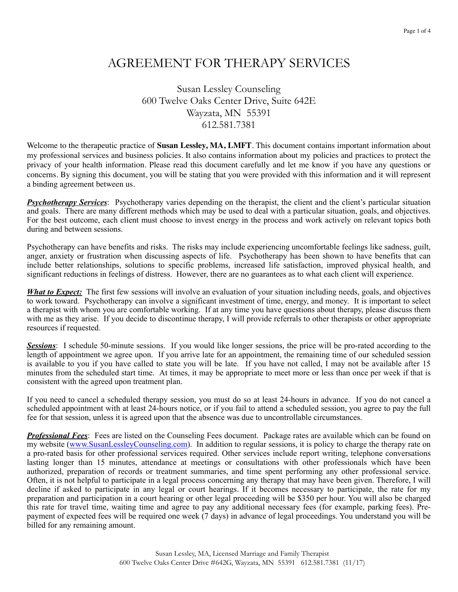## AGREEMENT FOR THERAPY SERVICES

Susan Lessley Counseling 600 Twelve Oaks Center Drive, Suite 642E Wayzata, MN 55391 612.581.7381

Welcome to the therapeutic practice of **Susan Lessley, MA, LMFT**. This document contains important information about my professional services and business policies. It also contains information about my policies and practices to protect the privacy of your health information. Please read this document carefully and let me know if you have any questions or concerns. By signing this document, you will be stating that you were provided with this information and it will represent a binding agreement between us.

*Psychotherapy Services*: Psychotherapy varies depending on the therapist, the client and the client's particular situation and goals. There are many different methods which may be used to deal with a particular situation, goals, and objectives. For the best outcome, each client must choose to invest energy in the process and work actively on relevant topics both during and between sessions.

Psychotherapy can have benefits and risks. The risks may include experiencing uncomfortable feelings like sadness, guilt, anger, anxiety or frustration when discussing aspects of life. Psychotherapy has been shown to have benefits that can include better relationships, solutions to specific problems, increased life satisfaction, improved physical health, and significant reductions in feelings of distress. However, there are no guarantees as to what each client will experience.

*What to Expect:* The first few sessions will involve an evaluation of your situation including needs, goals, and objectives to work toward. Psychotherapy can involve a significant investment of time, energy, and money. It is important to select a therapist with whom you are comfortable working. If at any time you have questions about therapy, please discuss them with me as they arise. If you decide to discontinue therapy, I will provide referrals to other therapists or other appropriate resources if requested.

**Sessions**: I schedule 50-minute sessions. If you would like longer sessions, the price will be pro-rated according to the length of appointment we agree upon. If you arrive late for an appointment, the remaining time of our scheduled session is available to you if you have called to state you will be late. If you have not called, I may not be available after 15 minutes from the scheduled start time. At times, it may be appropriate to meet more or less than once per week if that is consistent with the agreed upon treatment plan.

If you need to cancel a scheduled therapy session, you must do so at least 24-hours in advance. If you do not cancel a scheduled appointment with at least 24-hours notice, or if you fail to attend a scheduled session, you agree to pay the full fee for that session, unless it is agreed upon that the absence was due to uncontrollable circumstances.

*Professional Fees*: Fees are listed on the Counseling Fees document. Package rates are available which can be found on my website [\(www.SusanLessleyCounseling.com\)](http://www.SusanLessleyCounseling.com). In addition to regular sessions, it is policy to charge the therapy rate on a pro-rated basis for other professional services required. Other services include report writing, telephone conversations lasting longer than 15 minutes, attendance at meetings or consultations with other professionals which have been authorized, preparation of records or treatment summaries, and time spent performing any other professional service. Often, it is not helpful to participate in a legal process concerning any therapy that may have been given. Therefore, I will decline if asked to participate in any legal or court hearings. If it becomes necessary to participate, the rate for my preparation and participation in a court hearing or other legal proceeding will be \$350 per hour. You will also be charged this rate for travel time, waiting time and agree to pay any additional necessary fees (for example, parking fees). Prepayment of expected fees will be required one week (7 days) in advance of legal proceedings. You understand you will be billed for any remaining amount.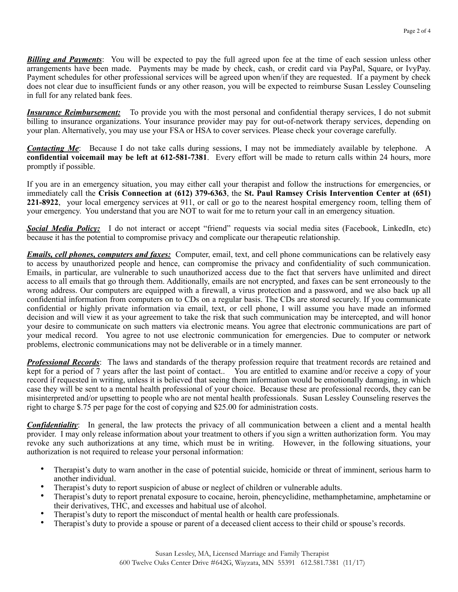*Billing and Payments*: You will be expected to pay the full agreed upon fee at the time of each session unless other arrangements have been made. Payments may be made by check, cash, or credit card via PayPal, Square, or IvyPay. Payment schedules for other professional services will be agreed upon when/if they are requested. If a payment by check does not clear due to insufficient funds or any other reason, you will be expected to reimburse Susan Lessley Counseling in full for any related bank fees.

*Insurance Reimbursement:*To provide you with the most personal and confidential therapy services, I do not submit billing to insurance organizations. Your insurance provider may pay for out-of-network therapy services, depending on your plan. Alternatively, you may use your FSA or HSA to cover services. Please check your coverage carefully.

*Contacting Me*: Because I do not take calls during sessions, I may not be immediately available by telephone. A **confidential voicemail may be left at 612-581-7381**. Every effort will be made to return calls within 24 hours, more promptly if possible.

If you are in an emergency situation, you may either call your therapist and follow the instructions for emergencies, or immediately call the **Crisis Connection at (612) 379-6363**, the **St. Paul Ramsey Crisis Intervention Center at (651) 221-8922**, your local emergency services at 911, or call or go to the nearest hospital emergency room, telling them of your emergency. You understand that you are NOT to wait for me to return your call in an emergency situation.

*Social Media Policy:* I do not interact or accept "friend" requests via social media sites (Facebook, LinkedIn, etc) because it has the potential to compromise privacy and complicate our therapeutic relationship.

*Emails, cell phones, computers and faxes:* Computer, email, text, and cell phone communications can be relatively easy to access by unauthorized people and hence, can compromise the privacy and confidentiality of such communication. Emails, in particular, are vulnerable to such unauthorized access due to the fact that servers have unlimited and direct access to all emails that go through them. Additionally, emails are not encrypted, and faxes can be sent erroneously to the wrong address. Our computers are equipped with a firewall, a virus protection and a password, and we also back up all confidential information from computers on to CDs on a regular basis. The CDs are stored securely. If you communicate confidential or highly private information via email, text, or cell phone, I will assume you have made an informed decision and will view it as your agreement to take the risk that such communication may be intercepted, and will honor your desire to communicate on such matters via electronic means. You agree that electronic communications are part of your medical record. You agree to not use electronic communication for emergencies. Due to computer or network problems, electronic communications may not be deliverable or in a timely manner.

*Professional Records*: The laws and standards of the therapy profession require that treatment records are retained and kept for a period of 7 years after the last point of contact.. You are entitled to examine and/or receive a copy of your record if requested in writing, unless it is believed that seeing them information would be emotionally damaging, in which case they will be sent to a mental health professional of your choice. Because these are professional records, they can be misinterpreted and/or upsetting to people who are not mental health professionals. Susan Lessley Counseling reserves the right to charge \$.75 per page for the cost of copying and \$25.00 for administration costs.

*Confidentiality*: In general, the law protects the privacy of all communication between a client and a mental health provider. I may only release information about your treatment to others if you sign a written authorization form. You may revoke any such authorizations at any time, which must be in writing. However, in the following situations, your authorization is not required to release your personal information:

- Therapist's duty to warn another in the case of potential suicide, homicide or threat of imminent, serious harm to another individual.
- Therapist's duty to report suspicion of abuse or neglect of children or vulnerable adults.
- Therapist's duty to report prenatal exposure to cocaine, heroin, phencyclidine, methamphetamine, amphetamine or their derivatives, THC, and excesses and habitual use of alcohol.
- Therapist's duty to report the misconduct of mental health or health care professionals.
- Therapist's duty to provide a spouse or parent of a deceased client access to their child or spouse's records.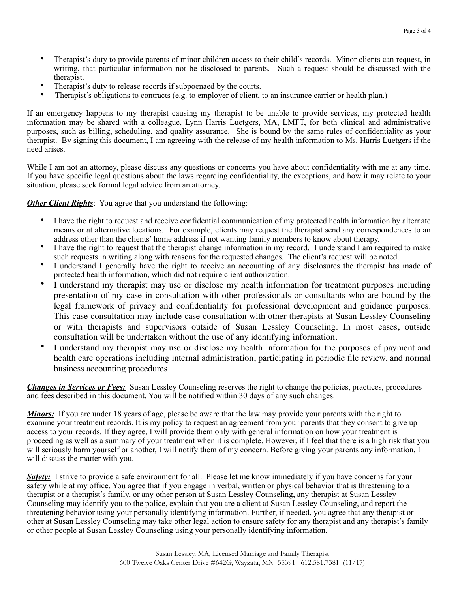- Therapist's duty to provide parents of minor children access to their child's records. Minor clients can request, in writing, that particular information not be disclosed to parents. Such a request should be discussed with the therapist.
- Therapist's duty to release records if subpoenaed by the courts.
- Therapist's obligations to contracts (e.g. to employer of client, to an insurance carrier or health plan.)

If an emergency happens to my therapist causing my therapist to be unable to provide services, my protected health information may be shared with a colleague, Lynn Harris Luetgers, MA, LMFT, for both clinical and administrative purposes, such as billing, scheduling, and quality assurance. She is bound by the same rules of confidentiality as your therapist. By signing this document, I am agreeing with the release of my health information to Ms. Harris Luetgers if the need arises.

While I am not an attorney, please discuss any questions or concerns you have about confidentiality with me at any time. If you have specific legal questions about the laws regarding confidentiality, the exceptions, and how it may relate to your situation, please seek formal legal advice from an attorney.

*Other Client Rights*: You agree that you understand the following:

- I have the right to request and receive confidential communication of my protected health information by alternate means or at alternative locations. For example, clients may request the therapist send any correspondences to an address other than the clients' home address if not wanting family members to know about therapy.
- I have the right to request that the therapist change information in my record. I understand I am required to make such requests in writing along with reasons for the requested changes. The client's request will be noted.
- I understand I generally have the right to receive an accounting of any disclosures the therapist has made of protected health information, which did not require client authorization.
- I understand my therapist may use or disclose my health information for treatment purposes including presentation of my case in consultation with other professionals or consultants who are bound by the legal framework of privacy and confidentiality for professional development and guidance purposes. This case consultation may include case consultation with other therapists at Susan Lessley Counseling or with therapists and supervisors outside of Susan Lessley Counseling. In most cases, outside consultation will be undertaken without the use of any identifying information.
- I understand my therapist may use or disclose my health information for the purposes of payment and health care operations including internal administration, participating in periodic file review, and normal business accounting procedures.

*Changes in Services or Fees:* Susan Lessley Counseling reserves the right to change the policies, practices, procedures and fees described in this document. You will be notified within 30 days of any such changes.

*Minors*: If you are under 18 years of age, please be aware that the law may provide your parents with the right to examine your treatment records. It is my policy to request an agreement from your parents that they consent to give up access to your records. If they agree, I will provide them only with general information on how your treatment is proceeding as well as a summary of your treatment when it is complete. However, if I feel that there is a high risk that you will seriously harm yourself or another, I will notify them of my concern. Before giving your parents any information, I will discuss the matter with you.

*Safety:* I strive to provide a safe environment for all. Please let me know immediately if you have concerns for your safety while at my office. You agree that if you engage in verbal, written or physical behavior that is threatening to a therapist or a therapist's family, or any other person at Susan Lessley Counseling, any therapist at Susan Lessley Counseling may identify you to the police, explain that you are a client at Susan Lessley Counseling, and report the threatening behavior using your personally identifying information. Further, if needed, you agree that any therapist or other at Susan Lessley Counseling may take other legal action to ensure safety for any therapist and any therapist's family or other people at Susan Lessley Counseling using your personally identifying information.